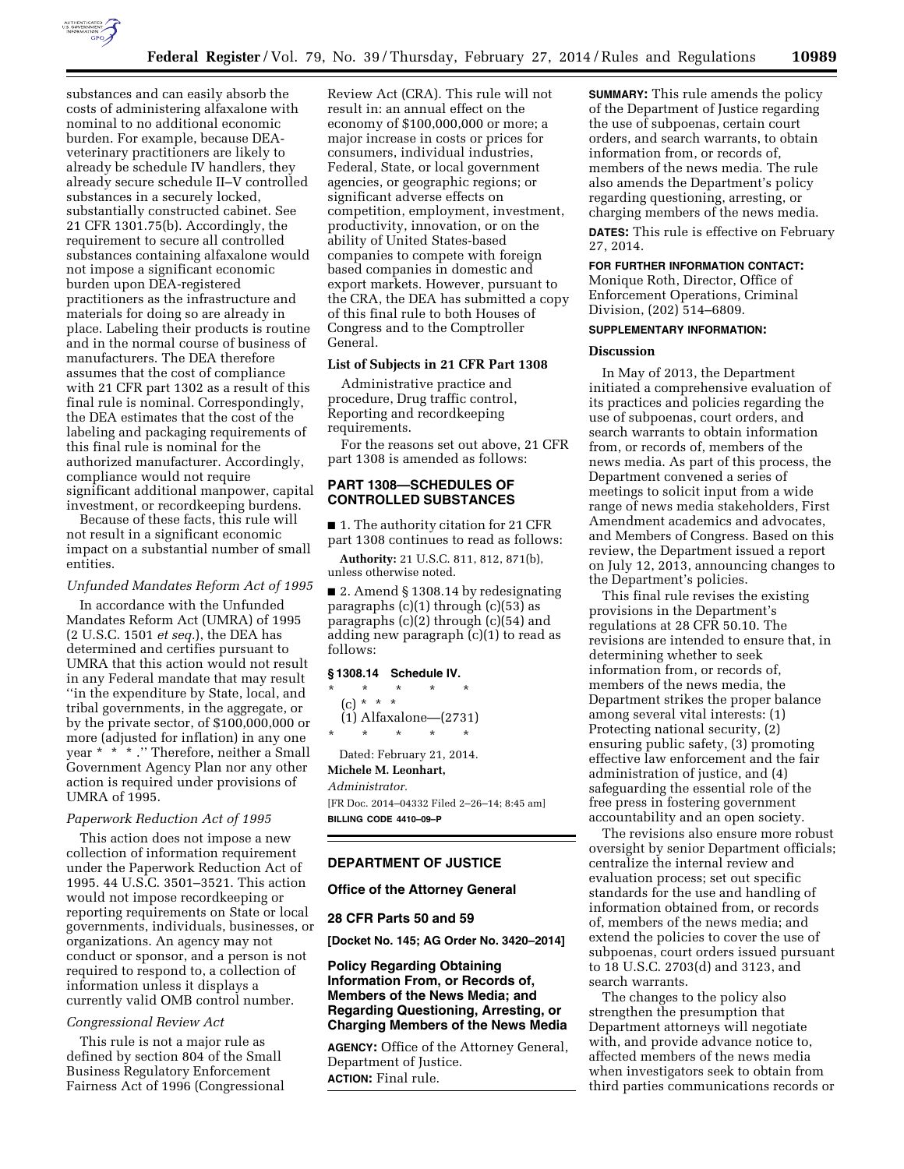

substances and can easily absorb the costs of administering alfaxalone with nominal to no additional economic burden. For example, because DEAveterinary practitioners are likely to already be schedule IV handlers, they already secure schedule II–V controlled substances in a securely locked, substantially constructed cabinet. See 21 CFR 1301.75(b). Accordingly, the requirement to secure all controlled substances containing alfaxalone would not impose a significant economic burden upon DEA-registered practitioners as the infrastructure and materials for doing so are already in place. Labeling their products is routine and in the normal course of business of manufacturers. The DEA therefore assumes that the cost of compliance with 21 CFR part 1302 as a result of this final rule is nominal. Correspondingly, the DEA estimates that the cost of the labeling and packaging requirements of this final rule is nominal for the authorized manufacturer. Accordingly, compliance would not require significant additional manpower, capital investment, or recordkeeping burdens.

Because of these facts, this rule will not result in a significant economic impact on a substantial number of small entities.

### *Unfunded Mandates Reform Act of 1995*

In accordance with the Unfunded Mandates Reform Act (UMRA) of 1995 (2 U.S.C. 1501 *et seq.*), the DEA has determined and certifies pursuant to UMRA that this action would not result in any Federal mandate that may result ''in the expenditure by State, local, and tribal governments, in the aggregate, or by the private sector, of \$100,000,000 or more (adjusted for inflation) in any one year \* \* \* .'' Therefore, neither a Small Government Agency Plan nor any other action is required under provisions of UMRA of 1995.

### *Paperwork Reduction Act of 1995*

This action does not impose a new collection of information requirement under the Paperwork Reduction Act of 1995. 44 U.S.C. 3501–3521. This action would not impose recordkeeping or reporting requirements on State or local governments, individuals, businesses, or organizations. An agency may not conduct or sponsor, and a person is not required to respond to, a collection of information unless it displays a currently valid OMB control number.

#### *Congressional Review Act*

This rule is not a major rule as defined by section 804 of the Small Business Regulatory Enforcement Fairness Act of 1996 (Congressional

Review Act (CRA). This rule will not result in: an annual effect on the economy of \$100,000,000 or more; a major increase in costs or prices for consumers, individual industries, Federal, State, or local government agencies, or geographic regions; or significant adverse effects on competition, employment, investment, productivity, innovation, or on the ability of United States-based companies to compete with foreign based companies in domestic and export markets. However, pursuant to the CRA, the DEA has submitted a copy of this final rule to both Houses of Congress and to the Comptroller General.

### **List of Subjects in 21 CFR Part 1308**

Administrative practice and procedure, Drug traffic control, Reporting and recordkeeping requirements.

For the reasons set out above, 21 CFR part 1308 is amended as follows:

# **PART 1308—SCHEDULES OF CONTROLLED SUBSTANCES**

■ 1. The authority citation for 21 CFR part 1308 continues to read as follows:

**Authority:** 21 U.S.C. 811, 812, 871(b), unless otherwise noted.

■ 2. Amend § 1308.14 by redesignating paragraphs (c)(1) through (c)(53) as paragraphs (c)(2) through (c)(54) and adding new paragraph (c)(1) to read as follows:

## **§ 1308.14 Schedule IV.**

\* \* \* \* \* (c) \* \* \* (1) Alfaxalone—(2731) \* \* \* \* \*

Dated: February 21, 2014.

## **Michele M. Leonhart,**

*Administrator.* 

[FR Doc. 2014–04332 Filed 2–26–14; 8:45 am] **BILLING CODE 4410–09–P** 

## **DEPARTMENT OF JUSTICE**

#### **Office of the Attorney General**

#### **28 CFR Parts 50 and 59**

**[Docket No. 145; AG Order No. 3420–2014]** 

## **Policy Regarding Obtaining Information From, or Records of, Members of the News Media; and Regarding Questioning, Arresting, or Charging Members of the News Media**

**AGENCY:** Office of the Attorney General, Department of Justice. **ACTION:** Final rule.

**SUMMARY:** This rule amends the policy of the Department of Justice regarding the use of subpoenas, certain court orders, and search warrants, to obtain information from, or records of, members of the news media. The rule also amends the Department's policy regarding questioning, arresting, or charging members of the news media.

**DATES:** This rule is effective on February 27, 2014.

**FOR FURTHER INFORMATION CONTACT:**  Monique Roth, Director, Office of Enforcement Operations, Criminal Division, (202) 514–6809.

## **SUPPLEMENTARY INFORMATION:**

## **Discussion**

In May of 2013, the Department initiated a comprehensive evaluation of its practices and policies regarding the use of subpoenas, court orders, and search warrants to obtain information from, or records of, members of the news media. As part of this process, the Department convened a series of meetings to solicit input from a wide range of news media stakeholders, First Amendment academics and advocates, and Members of Congress. Based on this review, the Department issued a report on July 12, 2013, announcing changes to the Department's policies.

This final rule revises the existing provisions in the Department's regulations at 28 CFR 50.10. The revisions are intended to ensure that, in determining whether to seek information from, or records of, members of the news media, the Department strikes the proper balance among several vital interests: (1) Protecting national security, (2) ensuring public safety, (3) promoting effective law enforcement and the fair administration of justice, and (4) safeguarding the essential role of the free press in fostering government accountability and an open society.

The revisions also ensure more robust oversight by senior Department officials; centralize the internal review and evaluation process; set out specific standards for the use and handling of information obtained from, or records of, members of the news media; and extend the policies to cover the use of subpoenas, court orders issued pursuant to 18 U.S.C. 2703(d) and 3123, and search warrants.

The changes to the policy also strengthen the presumption that Department attorneys will negotiate with, and provide advance notice to, affected members of the news media when investigators seek to obtain from third parties communications records or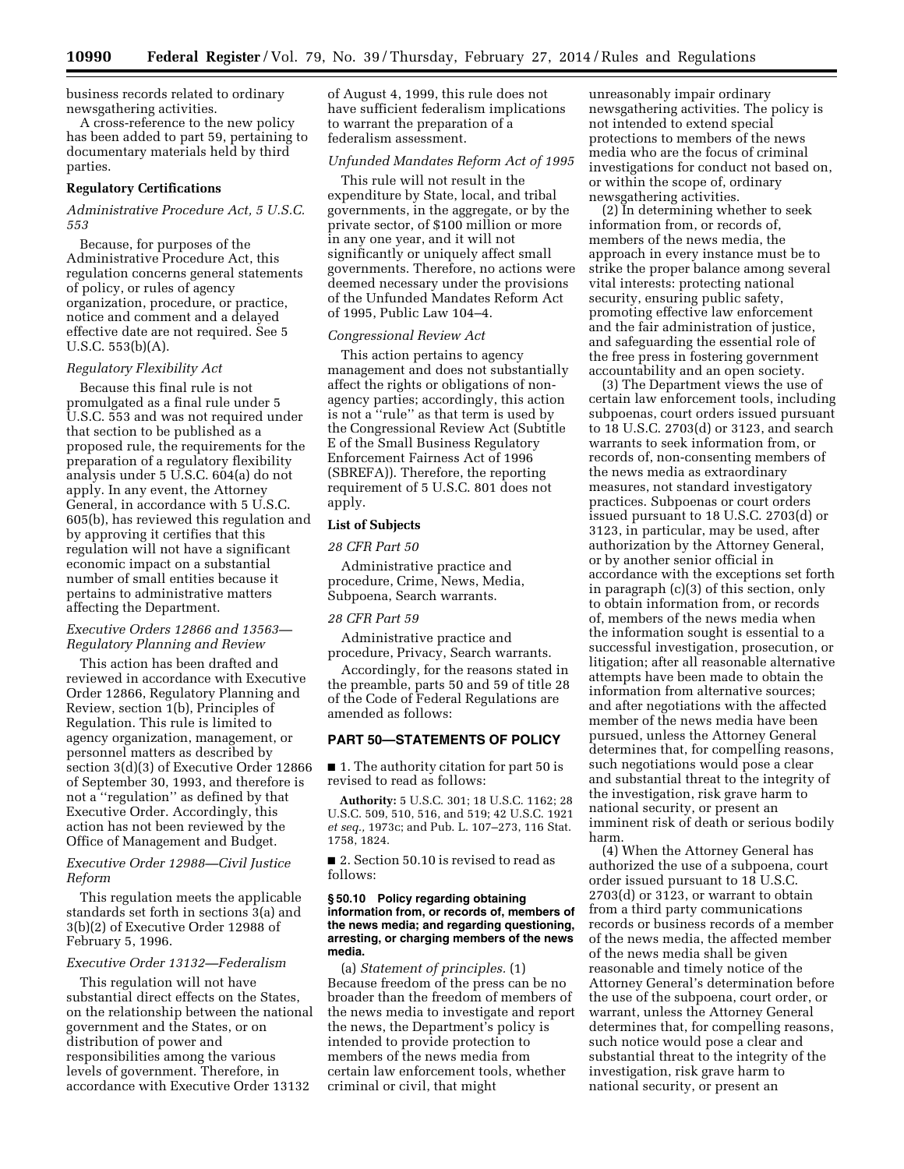business records related to ordinary newsgathering activities.

A cross-reference to the new policy has been added to part 59, pertaining to documentary materials held by third parties.

## **Regulatory Certifications**

## *Administrative Procedure Act, 5 U.S.C. 553*

Because, for purposes of the Administrative Procedure Act, this regulation concerns general statements of policy, or rules of agency organization, procedure, or practice, notice and comment and a delayed effective date are not required. See 5 U.S.C. 553(b)(A).

### *Regulatory Flexibility Act*

Because this final rule is not promulgated as a final rule under 5 U.S.C. 553 and was not required under that section to be published as a proposed rule, the requirements for the preparation of a regulatory flexibility analysis under 5 U.S.C. 604(a) do not apply. In any event, the Attorney General, in accordance with 5 U.S.C. 605(b), has reviewed this regulation and by approving it certifies that this regulation will not have a significant economic impact on a substantial number of small entities because it pertains to administrative matters affecting the Department.

## *Executive Orders 12866 and 13563— Regulatory Planning and Review*

This action has been drafted and reviewed in accordance with Executive Order 12866, Regulatory Planning and Review, section 1(b), Principles of Regulation. This rule is limited to agency organization, management, or personnel matters as described by section 3(d)(3) of Executive Order 12866 of September 30, 1993, and therefore is not a ''regulation'' as defined by that Executive Order. Accordingly, this action has not been reviewed by the Office of Management and Budget.

*Executive Order 12988—Civil Justice Reform* 

This regulation meets the applicable standards set forth in sections 3(a) and 3(b)(2) of Executive Order 12988 of February 5, 1996.

#### *Executive Order 13132—Federalism*

This regulation will not have substantial direct effects on the States, on the relationship between the national government and the States, or on distribution of power and responsibilities among the various levels of government. Therefore, in accordance with Executive Order 13132

of August 4, 1999, this rule does not have sufficient federalism implications to warrant the preparation of a federalism assessment.

### *Unfunded Mandates Reform Act of 1995*

This rule will not result in the expenditure by State, local, and tribal governments, in the aggregate, or by the private sector, of \$100 million or more in any one year, and it will not significantly or uniquely affect small governments. Therefore, no actions were deemed necessary under the provisions of the Unfunded Mandates Reform Act of 1995, Public Law 104–4.

### *Congressional Review Act*

This action pertains to agency management and does not substantially affect the rights or obligations of nonagency parties; accordingly, this action is not a ''rule'' as that term is used by the Congressional Review Act (Subtitle E of the Small Business Regulatory Enforcement Fairness Act of 1996 (SBREFA)). Therefore, the reporting requirement of 5 U.S.C. 801 does not apply.

### **List of Subjects**

### *28 CFR Part 50*

Administrative practice and procedure, Crime, News, Media, Subpoena, Search warrants.

## *28 CFR Part 59*

Administrative practice and procedure, Privacy, Search warrants.

Accordingly, for the reasons stated in the preamble, parts 50 and 59 of title 28 of the Code of Federal Regulations are amended as follows:

## **PART 50—STATEMENTS OF POLICY**

■ 1. The authority citation for part 50 is revised to read as follows:

**Authority:** 5 U.S.C. 301; 18 U.S.C. 1162; 28 U.S.C. 509, 510, 516, and 519; 42 U.S.C. 1921 *et seq.,* 1973c; and Pub. L. 107–273, 116 Stat. 1758, 1824.

■ 2. Section 50.10 is revised to read as follows:

### **§ 50.10 Policy regarding obtaining information from, or records of, members of the news media; and regarding questioning, arresting, or charging members of the news media.**

(a) *Statement of principles.* (1) Because freedom of the press can be no broader than the freedom of members of the news media to investigate and report the news, the Department's policy is intended to provide protection to members of the news media from certain law enforcement tools, whether criminal or civil, that might

unreasonably impair ordinary newsgathering activities. The policy is not intended to extend special protections to members of the news media who are the focus of criminal investigations for conduct not based on, or within the scope of, ordinary newsgathering activities.

(2) In determining whether to seek information from, or records of, members of the news media, the approach in every instance must be to strike the proper balance among several vital interests: protecting national security, ensuring public safety, promoting effective law enforcement and the fair administration of justice, and safeguarding the essential role of the free press in fostering government accountability and an open society.

(3) The Department views the use of certain law enforcement tools, including subpoenas, court orders issued pursuant to 18 U.S.C. 2703(d) or 3123, and search warrants to seek information from, or records of, non-consenting members of the news media as extraordinary measures, not standard investigatory practices. Subpoenas or court orders issued pursuant to 18 U.S.C. 2703(d) or 3123, in particular, may be used, after authorization by the Attorney General, or by another senior official in accordance with the exceptions set forth in paragraph (c)(3) of this section, only to obtain information from, or records of, members of the news media when the information sought is essential to a successful investigation, prosecution, or litigation; after all reasonable alternative attempts have been made to obtain the information from alternative sources; and after negotiations with the affected member of the news media have been pursued, unless the Attorney General determines that, for compelling reasons, such negotiations would pose a clear and substantial threat to the integrity of the investigation, risk grave harm to national security, or present an imminent risk of death or serious bodily harm.

(4) When the Attorney General has authorized the use of a subpoena, court order issued pursuant to 18 U.S.C. 2703(d) or 3123, or warrant to obtain from a third party communications records or business records of a member of the news media, the affected member of the news media shall be given reasonable and timely notice of the Attorney General's determination before the use of the subpoena, court order, or warrant, unless the Attorney General determines that, for compelling reasons, such notice would pose a clear and substantial threat to the integrity of the investigation, risk grave harm to national security, or present an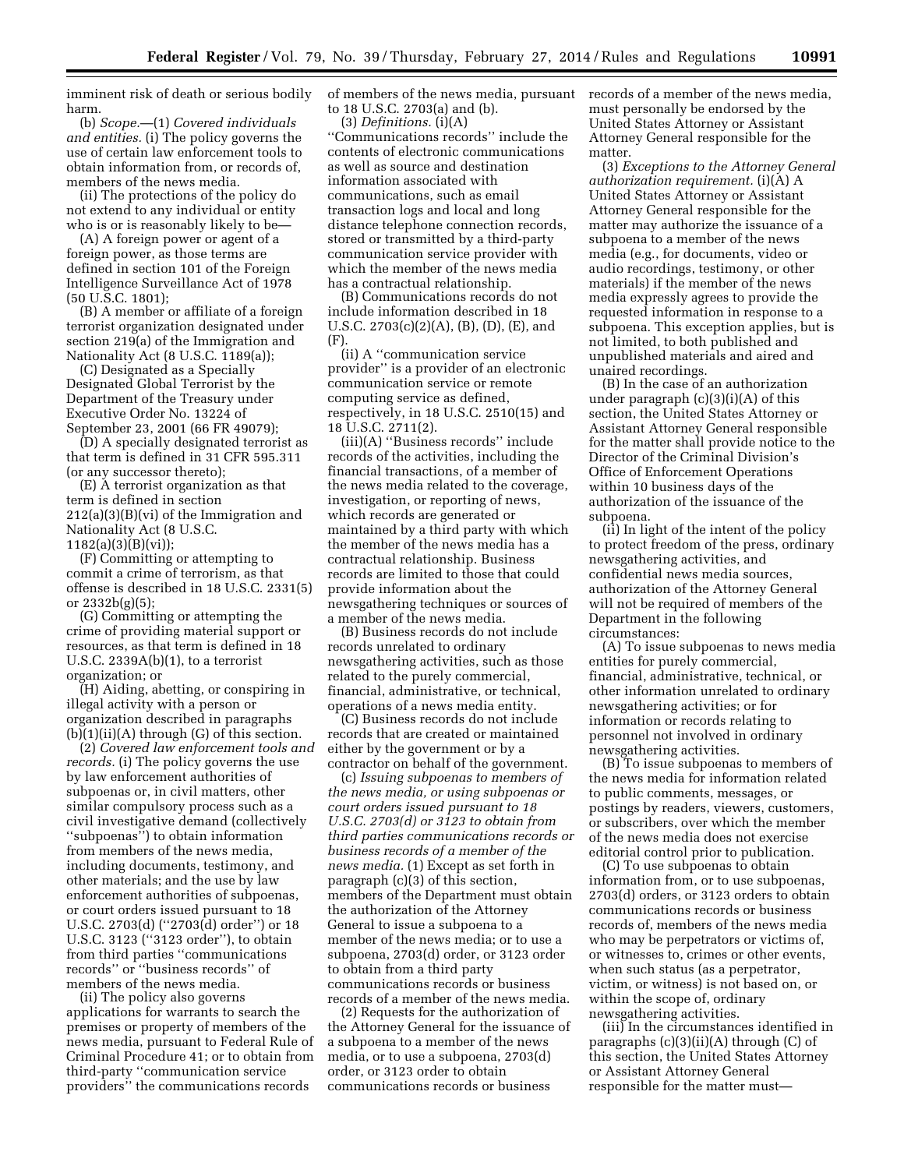imminent risk of death or serious bodily harm.

(b) *Scope.*—(1) *Covered individuals and entities.* (i) The policy governs the use of certain law enforcement tools to obtain information from, or records of, members of the news media.

(ii) The protections of the policy do not extend to any individual or entity who is or is reasonably likely to be—

(A) A foreign power or agent of a foreign power, as those terms are defined in section 101 of the Foreign Intelligence Surveillance Act of 1978 (50 U.S.C. 1801);

(B) A member or affiliate of a foreign terrorist organization designated under section 219(a) of the Immigration and Nationality Act (8 U.S.C. 1189(a));

(C) Designated as a Specially Designated Global Terrorist by the Department of the Treasury under Executive Order No. 13224 of September 23, 2001 (66 FR 49079);

(D) A specially designated terrorist as that term is defined in 31 CFR 595.311 (or any successor thereto);

(E) A terrorist organization as that term is defined in section 212(a)(3)(B)(vi) of the Immigration and Nationality Act (8 U.S.C. 1182(a)(3)(B)(vi));

(F) Committing or attempting to commit a crime of terrorism, as that offense is described in 18 U.S.C. 2331(5) or 2332b(g)(5);

(G) Committing or attempting the crime of providing material support or resources, as that term is defined in 18 U.S.C. 2339A(b)(1), to a terrorist organization; or

(H) Aiding, abetting, or conspiring in illegal activity with a person or organization described in paragraphs  $(b)(1)(ii)(A)$  through  $(G)$  of this section.

(2) *Covered law enforcement tools and records.* (i) The policy governs the use by law enforcement authorities of subpoenas or, in civil matters, other similar compulsory process such as a civil investigative demand (collectively ''subpoenas'') to obtain information from members of the news media, including documents, testimony, and other materials; and the use by law enforcement authorities of subpoenas, or court orders issued pursuant to 18 U.S.C. 2703(d) (''2703(d) order'') or 18 U.S.C. 3123 (''3123 order''), to obtain from third parties ''communications records'' or ''business records'' of members of the news media.

(ii) The policy also governs applications for warrants to search the premises or property of members of the news media, pursuant to Federal Rule of Criminal Procedure 41; or to obtain from third-party ''communication service providers'' the communications records

of members of the news media, pursuant records of a member of the news media, to 18 U.S.C. 2703(a) and (b).

(3) *Definitions.* (i)(A) ''Communications records'' include the contents of electronic communications as well as source and destination information associated with communications, such as email transaction logs and local and long distance telephone connection records, stored or transmitted by a third-party communication service provider with which the member of the news media has a contractual relationship.

(B) Communications records do not include information described in 18 U.S.C. 2703(c)(2)(A), (B), (D), (E), and  $(F)$ 

(ii) A ''communication service provider'' is a provider of an electronic communication service or remote computing service as defined, respectively, in 18 U.S.C. 2510(15) and 18 U.S.C. 2711(2).

(iii)(A) ''Business records'' include records of the activities, including the financial transactions, of a member of the news media related to the coverage, investigation, or reporting of news, which records are generated or maintained by a third party with which the member of the news media has a contractual relationship. Business records are limited to those that could provide information about the newsgathering techniques or sources of a member of the news media.

(B) Business records do not include records unrelated to ordinary newsgathering activities, such as those related to the purely commercial, financial, administrative, or technical, operations of a news media entity.

(C) Business records do not include records that are created or maintained either by the government or by a contractor on behalf of the government.

(c) *Issuing subpoenas to members of the news media, or using subpoenas or court orders issued pursuant to 18 U.S.C. 2703(d) or 3123 to obtain from third parties communications records or business records of a member of the news media.* (1) Except as set forth in paragraph (c)(3) of this section, members of the Department must obtain the authorization of the Attorney General to issue a subpoena to a member of the news media; or to use a subpoena, 2703(d) order, or 3123 order to obtain from a third party communications records or business records of a member of the news media.

(2) Requests for the authorization of the Attorney General for the issuance of a subpoena to a member of the news media, or to use a subpoena, 2703(d) order, or 3123 order to obtain communications records or business

must personally be endorsed by the United States Attorney or Assistant Attorney General responsible for the matter.

(3) *Exceptions to the Attorney General authorization requirement.* (i)(A) A United States Attorney or Assistant Attorney General responsible for the matter may authorize the issuance of a subpoena to a member of the news media (e.g., for documents, video or audio recordings, testimony, or other materials) if the member of the news media expressly agrees to provide the requested information in response to a subpoena. This exception applies, but is not limited, to both published and unpublished materials and aired and unaired recordings.

(B) In the case of an authorization under paragraph (c)(3)(i)(A) of this section, the United States Attorney or Assistant Attorney General responsible for the matter shall provide notice to the Director of the Criminal Division's Office of Enforcement Operations within 10 business days of the authorization of the issuance of the subpoena.

(ii) In light of the intent of the policy to protect freedom of the press, ordinary newsgathering activities, and confidential news media sources, authorization of the Attorney General will not be required of members of the Department in the following circumstances:

(A) To issue subpoenas to news media entities for purely commercial, financial, administrative, technical, or other information unrelated to ordinary newsgathering activities; or for information or records relating to personnel not involved in ordinary newsgathering activities.

(B) To issue subpoenas to members of the news media for information related to public comments, messages, or postings by readers, viewers, customers, or subscribers, over which the member of the news media does not exercise editorial control prior to publication.

(C) To use subpoenas to obtain information from, or to use subpoenas, 2703(d) orders, or 3123 orders to obtain communications records or business records of, members of the news media who may be perpetrators or victims of, or witnesses to, crimes or other events, when such status (as a perpetrator, victim, or witness) is not based on, or within the scope of, ordinary newsgathering activities.

(iii) In the circumstances identified in paragraphs (c)(3)(ii)(A) through (C) of this section, the United States Attorney or Assistant Attorney General responsible for the matter must—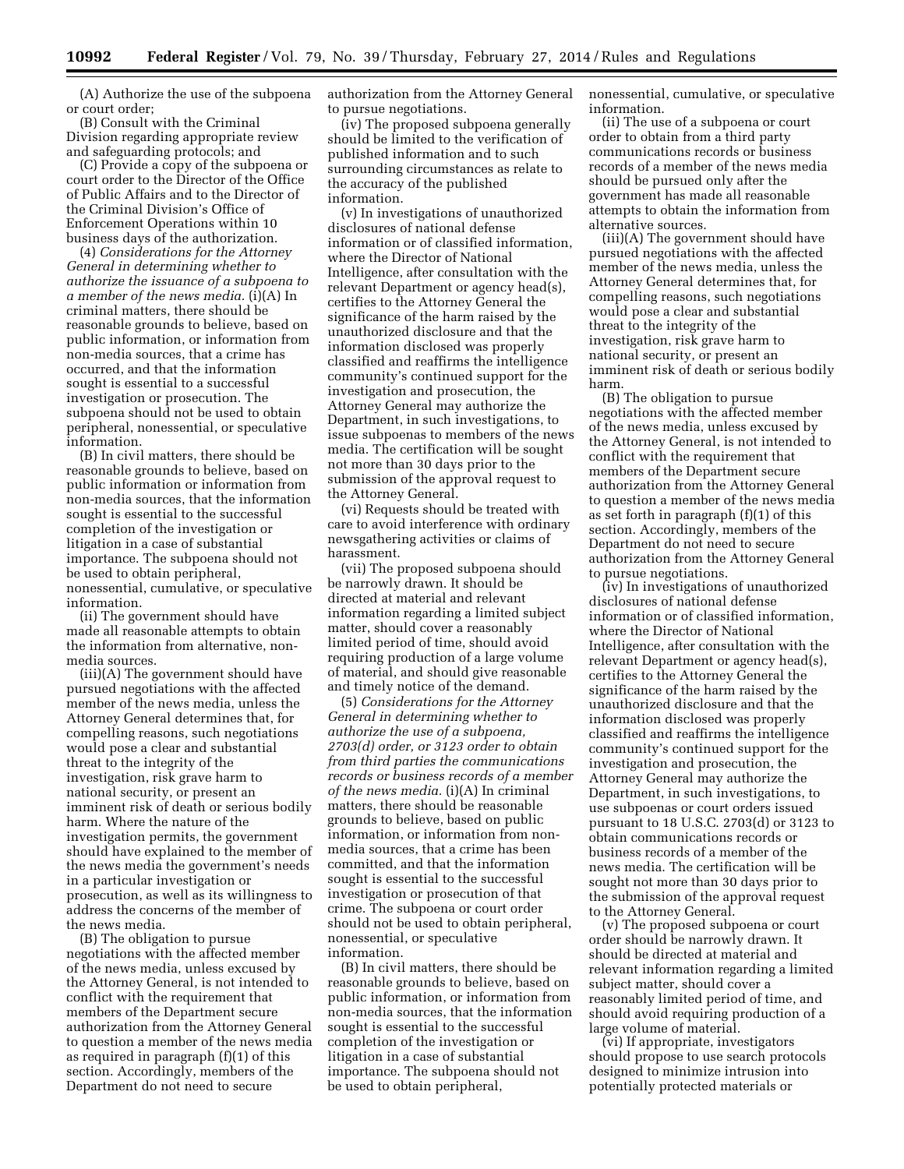(A) Authorize the use of the subpoena or court order;

(B) Consult with the Criminal Division regarding appropriate review and safeguarding protocols; and

(C) Provide a copy of the subpoena or court order to the Director of the Office of Public Affairs and to the Director of the Criminal Division's Office of Enforcement Operations within 10 business days of the authorization.

(4) *Considerations for the Attorney General in determining whether to authorize the issuance of a subpoena to a member of the news media.* (i)(A) In criminal matters, there should be reasonable grounds to believe, based on public information, or information from non-media sources, that a crime has occurred, and that the information sought is essential to a successful investigation or prosecution. The subpoena should not be used to obtain peripheral, nonessential, or speculative information.

(B) In civil matters, there should be reasonable grounds to believe, based on public information or information from non-media sources, that the information sought is essential to the successful completion of the investigation or litigation in a case of substantial importance. The subpoena should not be used to obtain peripheral, nonessential, cumulative, or speculative information.

(ii) The government should have made all reasonable attempts to obtain the information from alternative, nonmedia sources.

(iii)(A) The government should have pursued negotiations with the affected member of the news media, unless the Attorney General determines that, for compelling reasons, such negotiations would pose a clear and substantial threat to the integrity of the investigation, risk grave harm to national security, or present an imminent risk of death or serious bodily harm. Where the nature of the investigation permits, the government should have explained to the member of the news media the government's needs in a particular investigation or prosecution, as well as its willingness to address the concerns of the member of the news media.

(B) The obligation to pursue negotiations with the affected member of the news media, unless excused by the Attorney General, is not intended to conflict with the requirement that members of the Department secure authorization from the Attorney General to question a member of the news media as required in paragraph (f)(1) of this section. Accordingly, members of the Department do not need to secure

authorization from the Attorney General to pursue negotiations.

(iv) The proposed subpoena generally should be limited to the verification of published information and to such surrounding circumstances as relate to the accuracy of the published information.

(v) In investigations of unauthorized disclosures of national defense information or of classified information, where the Director of National Intelligence, after consultation with the relevant Department or agency head(s), certifies to the Attorney General the significance of the harm raised by the unauthorized disclosure and that the information disclosed was properly classified and reaffirms the intelligence community's continued support for the investigation and prosecution, the Attorney General may authorize the Department, in such investigations, to issue subpoenas to members of the news media. The certification will be sought not more than 30 days prior to the submission of the approval request to the Attorney General.

(vi) Requests should be treated with care to avoid interference with ordinary newsgathering activities or claims of harassment.

(vii) The proposed subpoena should be narrowly drawn. It should be directed at material and relevant information regarding a limited subject matter, should cover a reasonably limited period of time, should avoid requiring production of a large volume of material, and should give reasonable and timely notice of the demand.

(5) *Considerations for the Attorney General in determining whether to authorize the use of a subpoena, 2703(d) order, or 3123 order to obtain from third parties the communications records or business records of a member of the news media.* (i)(A) In criminal matters, there should be reasonable grounds to believe, based on public information, or information from nonmedia sources, that a crime has been committed, and that the information sought is essential to the successful investigation or prosecution of that crime. The subpoena or court order should not be used to obtain peripheral, nonessential, or speculative information.

(B) In civil matters, there should be reasonable grounds to believe, based on public information, or information from non-media sources, that the information sought is essential to the successful completion of the investigation or litigation in a case of substantial importance. The subpoena should not be used to obtain peripheral,

nonessential, cumulative, or speculative information.

(ii) The use of a subpoena or court order to obtain from a third party communications records or business records of a member of the news media should be pursued only after the government has made all reasonable attempts to obtain the information from alternative sources.

(iii)(A) The government should have pursued negotiations with the affected member of the news media, unless the Attorney General determines that, for compelling reasons, such negotiations would pose a clear and substantial threat to the integrity of the investigation, risk grave harm to national security, or present an imminent risk of death or serious bodily harm.

(B) The obligation to pursue negotiations with the affected member of the news media, unless excused by the Attorney General, is not intended to conflict with the requirement that members of the Department secure authorization from the Attorney General to question a member of the news media as set forth in paragraph (f)(1) of this section. Accordingly, members of the Department do not need to secure authorization from the Attorney General to pursue negotiations.

(iv) In investigations of unauthorized disclosures of national defense information or of classified information, where the Director of National Intelligence, after consultation with the relevant Department or agency head(s), certifies to the Attorney General the significance of the harm raised by the unauthorized disclosure and that the information disclosed was properly classified and reaffirms the intelligence community's continued support for the investigation and prosecution, the Attorney General may authorize the Department, in such investigations, to use subpoenas or court orders issued pursuant to 18 U.S.C. 2703(d) or 3123 to obtain communications records or business records of a member of the news media. The certification will be sought not more than 30 days prior to the submission of the approval request to the Attorney General.

(v) The proposed subpoena or court order should be narrowly drawn. It should be directed at material and relevant information regarding a limited subject matter, should cover a reasonably limited period of time, and should avoid requiring production of a large volume of material.

(vi) If appropriate, investigators should propose to use search protocols designed to minimize intrusion into potentially protected materials or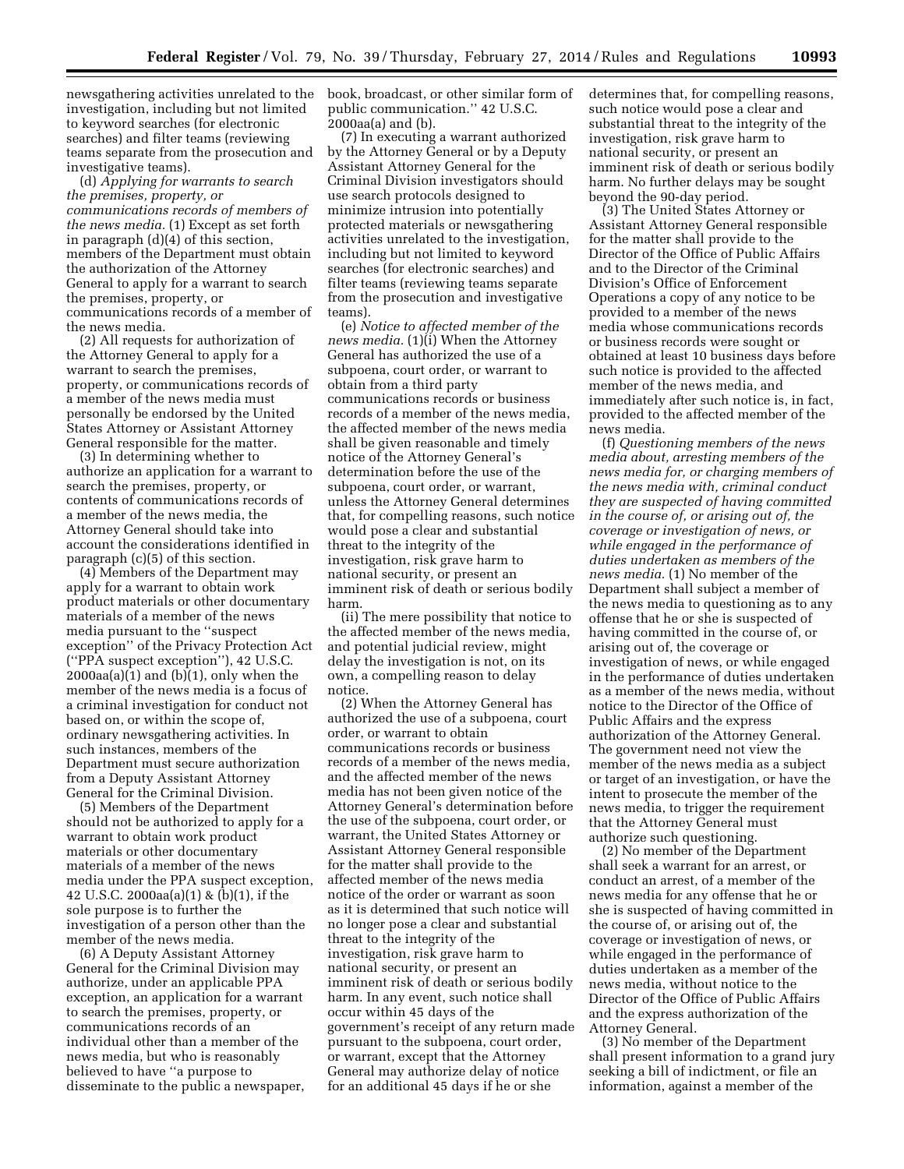newsgathering activities unrelated to the book, broadcast, or other similar form of investigation, including but not limited to keyword searches (for electronic searches) and filter teams (reviewing teams separate from the prosecution and investigative teams).

(d) *Applying for warrants to search the premises, property, or communications records of members of the news media.* (1) Except as set forth in paragraph (d)(4) of this section, members of the Department must obtain the authorization of the Attorney General to apply for a warrant to search the premises, property, or communications records of a member of the news media.

(2) All requests for authorization of the Attorney General to apply for a warrant to search the premises, property, or communications records of a member of the news media must personally be endorsed by the United States Attorney or Assistant Attorney General responsible for the matter.

(3) In determining whether to authorize an application for a warrant to search the premises, property, or contents of communications records of a member of the news media, the Attorney General should take into account the considerations identified in paragraph (c)(5) of this section.

(4) Members of the Department may apply for a warrant to obtain work product materials or other documentary materials of a member of the news media pursuant to the ''suspect exception'' of the Privacy Protection Act (''PPA suspect exception''), 42 U.S.C.  $2000aa(a)(1)$  and  $(b)(1)$ , only when the member of the news media is a focus of a criminal investigation for conduct not based on, or within the scope of, ordinary newsgathering activities. In such instances, members of the Department must secure authorization from a Deputy Assistant Attorney General for the Criminal Division.

(5) Members of the Department should not be authorized to apply for a warrant to obtain work product materials or other documentary materials of a member of the news media under the PPA suspect exception, 42 U.S.C. 2000aa(a)(1) & (b)(1), if the sole purpose is to further the investigation of a person other than the member of the news media.

(6) A Deputy Assistant Attorney General for the Criminal Division may authorize, under an applicable PPA exception, an application for a warrant to search the premises, property, or communications records of an individual other than a member of the news media, but who is reasonably believed to have ''a purpose to disseminate to the public a newspaper, public communication.'' 42 U.S.C. 2000aa(a) and (b).

(7) In executing a warrant authorized by the Attorney General or by a Deputy Assistant Attorney General for the Criminal Division investigators should use search protocols designed to minimize intrusion into potentially protected materials or newsgathering activities unrelated to the investigation, including but not limited to keyword searches (for electronic searches) and filter teams (reviewing teams separate from the prosecution and investigative teams).

(e) *Notice to affected member of the news media.* (1)(i) When the Attorney General has authorized the use of a subpoena, court order, or warrant to obtain from a third party communications records or business records of a member of the news media, the affected member of the news media shall be given reasonable and timely notice of the Attorney General's determination before the use of the subpoena, court order, or warrant, unless the Attorney General determines that, for compelling reasons, such notice would pose a clear and substantial threat to the integrity of the investigation, risk grave harm to national security, or present an imminent risk of death or serious bodily harm.

(ii) The mere possibility that notice to the affected member of the news media, and potential judicial review, might delay the investigation is not, on its own, a compelling reason to delay notice.

(2) When the Attorney General has authorized the use of a subpoena, court order, or warrant to obtain communications records or business records of a member of the news media, and the affected member of the news media has not been given notice of the Attorney General's determination before the use of the subpoena, court order, or warrant, the United States Attorney or Assistant Attorney General responsible for the matter shall provide to the affected member of the news media notice of the order or warrant as soon as it is determined that such notice will no longer pose a clear and substantial threat to the integrity of the investigation, risk grave harm to national security, or present an imminent risk of death or serious bodily harm. In any event, such notice shall occur within 45 days of the government's receipt of any return made pursuant to the subpoena, court order, or warrant, except that the Attorney General may authorize delay of notice for an additional 45 days if he or she

determines that, for compelling reasons, such notice would pose a clear and substantial threat to the integrity of the investigation, risk grave harm to national security, or present an imminent risk of death or serious bodily harm. No further delays may be sought beyond the 90-day period.

(3) The United States Attorney or Assistant Attorney General responsible for the matter shall provide to the Director of the Office of Public Affairs and to the Director of the Criminal Division's Office of Enforcement Operations a copy of any notice to be provided to a member of the news media whose communications records or business records were sought or obtained at least 10 business days before such notice is provided to the affected member of the news media, and immediately after such notice is, in fact, provided to the affected member of the news media.

(f) *Questioning members of the news media about, arresting members of the news media for, or charging members of the news media with, criminal conduct they are suspected of having committed in the course of, or arising out of, the coverage or investigation of news, or while engaged in the performance of duties undertaken as members of the news media.* (1) No member of the Department shall subject a member of the news media to questioning as to any offense that he or she is suspected of having committed in the course of, or arising out of, the coverage or investigation of news, or while engaged in the performance of duties undertaken as a member of the news media, without notice to the Director of the Office of Public Affairs and the express authorization of the Attorney General. The government need not view the member of the news media as a subject or target of an investigation, or have the intent to prosecute the member of the news media, to trigger the requirement that the Attorney General must authorize such questioning.

(2) No member of the Department shall seek a warrant for an arrest, or conduct an arrest, of a member of the news media for any offense that he or she is suspected of having committed in the course of, or arising out of, the coverage or investigation of news, or while engaged in the performance of duties undertaken as a member of the news media, without notice to the Director of the Office of Public Affairs and the express authorization of the Attorney General.

(3) No member of the Department shall present information to a grand jury seeking a bill of indictment, or file an information, against a member of the